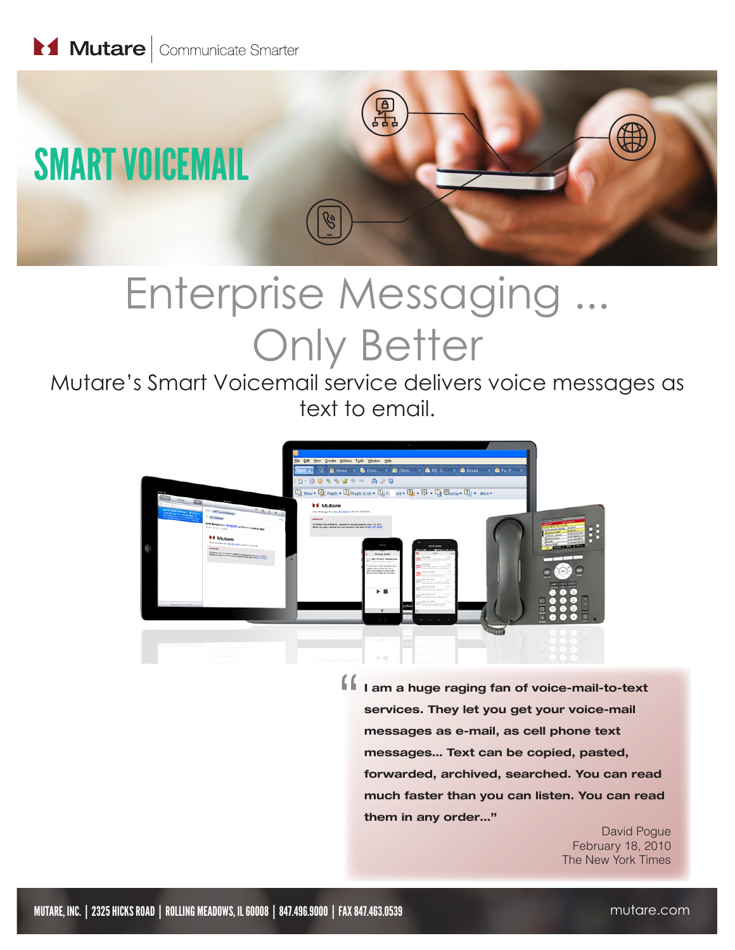

# Enterprise Messaging ... Only Better

Mutare's Smart Voicemail service delivers voice messages as text to email.



" I am a huge raging fan of voice-mail-to-text services. They let you get your voice-mail messages as e-mail, as cell phone text messages… Text can be copied, pasted, forwarded, archived, searched. You can read much faster than you can listen. You can read them in any order…"

> David Pogue February 18, 2010 The New York Times